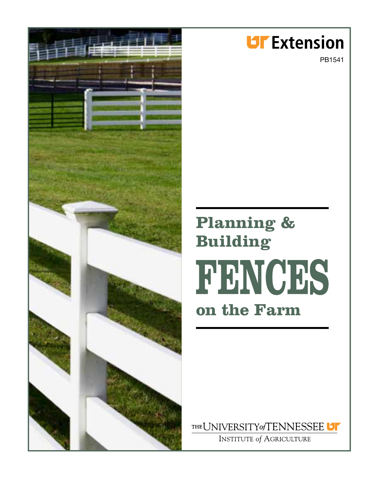

## **UF** Extension

PB1541

# **Planning & Building FENCES on the Farm**

THE UNIVERSITY of TENNESSEE U

**INSTITUTE of AGRICULTURE**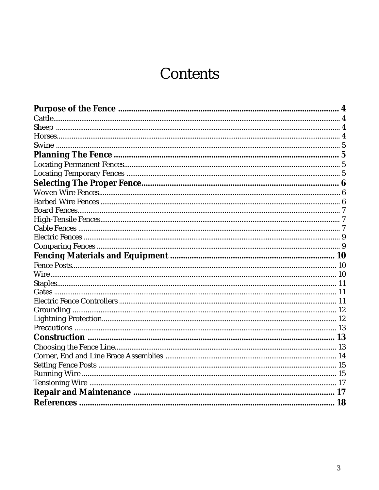## **Contents**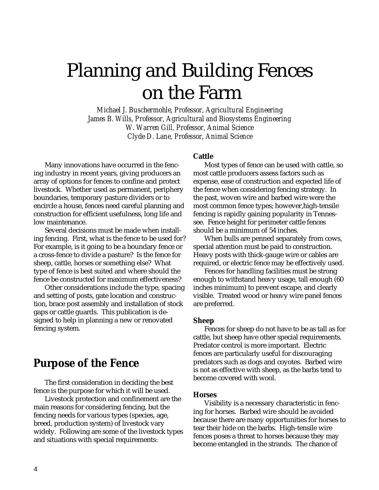## Planning and Building Fences on the Farm

*Michael J. Buschermohle, Professor, Agricultural Engineering James B. Wills, Professor, Agricultural and Biosystems Engineering W. Warren Gill, Professor, Animal Science Clyde D. Lane, Professor, Animal Science*

Many innovations have occurred in the fencing industry in recent years, giving producers an array of options for fences to confine and protect livestock. Whether used as permanent, periphery boundaries, temporary pasture dividers or to encircle a house, fences need careful planning and construction for efficient usefulness, long life and low maintenance.

Several decisions must be made when installing fencing. First, what is the fence to be used for? For example, is it going to be a boundary fence or a cross-fence to divide a pasture? Is the fence for sheep, cattle, horses or something else? What type of fence is best suited and where should the fence be constructed for maximum effectiveness?

Other considerations include the type, spacing and setting of posts, gate location and construction, brace post assembly and installation of stock gaps or cattle guards. This publication is designed to help in planning a new or renovated fencing system.

### **Purpose of the Fence**

The first consideration in deciding the best fence is the purpose for which it will be used.

Livestock protection and confinement are the main reasons for considering fencing, but the fencing needs for various types (species, age, breed, production system) of livestock vary widely. Following are some of the livestock types and situations with special requirements:

#### **Cattle**

Most types of fence can be used with cattle, so most cattle producers assess factors such as expense, ease of construction and expected life of the fence when considering fencing strategy. In the past, woven wire and barbed wire were the most common fence types; however,high-tensile fencing is rapidly gaining popularity in Tennessee. Fence height for perimeter cattle fences should be a minimum of 54 inches.

When bulls are penned separately from cows, special attention must be paid to construction. Heavy posts with thick-gauge wire or cables are required, or electric fence may be effectively used.

Fences for handling facilities must be strong enough to withstand heavy usage, tall enough (60 inches minimum) to prevent escape, and clearly visible. Treated wood or heavy wire panel fences are preferred.

#### **Sheep**

Fences for sheep do not have to be as tall as for cattle, but sheep have other special requirements. Predator control is more important. Electric fences are particularly useful for discouraging predators such as dogs and coyotes. Barbed wire is not as effective with sheep, as the barbs tend to become covered with wool.

#### **Horses**

Visibility is a necessary characteristic in fencing for horses. Barbed wire should be avoided because there are many opportunities for horses to tear their hide on the barbs. High-tensile wire fences poses a threat to horses because they may become entangled in the strands. The chance of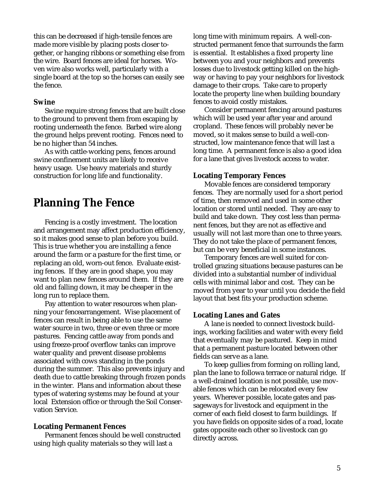this can be decreased if high-tensile fences are made more visible by placing posts closer together, or hanging ribbons or something else from the wire. Board fences are ideal for horses. Woven wire also works well, particularly with a single board at the top so the horses can easily see the fence.

#### **Swine**

Swine require strong fences that are built close to the ground to prevent them from escaping by rooting underneath the fence. Barbed wire along the ground helps prevent rooting. Fences need to be no higher than 54 inches.

As with cattle-working pens, fences around swine confinement units are likely to receive heavy usage. Use heavy materials and sturdy construction for long life and functionality.

## **Planning The Fence**

Fencing is a costly investment. The location and arrangement may affect production efficiency, so it makes good sense to plan before you build. This is true whether you are installing a fence around the farm or a pasture for the first time, or replacing an old, worn-out fence. Evaluate existing fences. If they are in good shape, you may want to plan new fences around them. If they are old and falling down, it may be cheaper in the long run to replace them.

Pay attention to water resources when planning your fencearrangement. Wise placement of fences can result in being able to use the same water source in two, three or even three or more pastures. Fencing cattle away from ponds and using freeze-proof overflow tanks can improve water quality and prevent disease problems associated with cows standing in the ponds during the summer. This also prevents injury and death due to cattle breaking through frozen ponds in the winter. Plans and information about these types of watering systems may be found at your local Extension office or through the Soil Conservation Service.

#### **Locating Permanent Fences**

Permanent fences should be well constructed using high quality materials so they will last a

long time with minimum repairs. A well-constructed permanent fence that surrounds the farm is essential. It establishes a fixed property line between you and your neighbors and prevents losses due to livestock getting killed on the highway or having to pay your neighbors for livestock damage to their crops. Take care to properly locate the property line when building boundary fences to avoid costly mistakes.

Consider permanent fencing around pastures which will be used year after year and around cropland. These fences will probably never be moved, so it makes sense to build a well-constructed, low maintenance fence that will last a long time. A permanent fence is also a good idea for a lane that gives livestock access to water.

#### **Locating Temporary Fences**

Movable fences are considered temporary fences. They are normally used for a short period of time, then removed and used in some other location or stored until needed. They are easy to build and take down. They cost less than permanent fences, but they are not as effective and usually will not last more than one to three years. They do not take the place of permanent fences, but can be very beneficial in some instances.

Temporary fences are well suited for controlled grazing situations because pastures can be divided into a substantial number of individual cells with minimal labor and cost.They can be moved from year to year until you decide the field layout that best fits your production scheme.

#### **Locating Lanes and Gates**

A lane is needed to connect livestock buildings, working facilities and water with every field that eventually may be pastured. Keep in mind that a permanent pasture located between other fields can serve as a lane.

To keep gullies from forming on rolling land, plan the lane to followa terrace or natural ridge. If a well-drained location is not possible, use movable fences which can be relocated every few years. Wherever possible, locate gates and passageways for livestock and equipment in the corner of each field closest to farm buildings. If you have fields on opposite sides of a road, locate gates opposite each other so livestock can go directly across.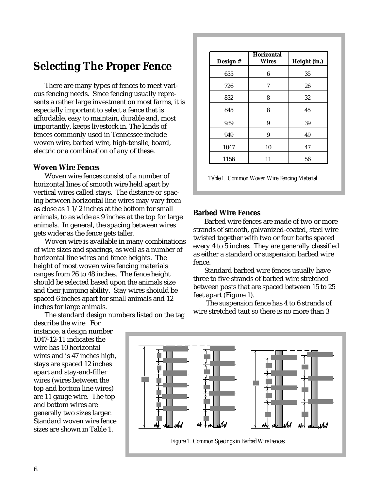### **Selecting The Proper Fence**

There are many types of fences to meet various fencing needs. Since fencing usually represents a rather large investment on most farms, it is especially important to select a fence that is affordable, easy to maintain, durable and, most importantly, keeps livestock in. The kinds of fences commonly used in Tennessee include woven wire, barbed wire, high-tensile, board, electric or a combination of any of these.

#### **Woven Wire Fences**

Woven wire fences consist of a number of horizontal lines of smooth wire held apart by vertical wires called stays. The distance or spacing between horizontal line wires may vary from as close as 1 1/2 inches at the bottom for small animals, to as wide as 9 inches at the top for large animals. In general, the spacing between wires gets wider as the fence gets taller.

Woven wire is available in many combinations of wire sizes and spacings, as well as a number of horizontal line wires and fence heights. The height of most woven wire fencing materials ranges from 26 to 48 inches. The fence height should be selected based upon the animals size and their jumping ability. Stay wires shoiuld be spaced 6 inches apart for small animals and 12 inches for large animals.

The standard design numbers listed on the tag

describe the wire. For instance, a design number 1047-12-11 indicates the wire has 10 horizontal wires and is 47 inches high, stays are spaced 12 inches apart and stay-and-filler wires (wires between the top and bottom line wires) are 11 gauge wire. The top and bottom wires are generally two sizes larger. Standard woven wire fence sizes are shown in Table 1.

| Design # | <b>Horizontal</b><br><b>Wires</b> | Height (in.) |
|----------|-----------------------------------|--------------|
| 635      | 6                                 | 35           |
| 726      | 7                                 | 26           |
| 832      | 8                                 | 32           |
| 845      | 8                                 | 45           |
| 939      | 9                                 | 39           |
| 949      | 9                                 | 49           |
| 1047     | 10                                | 47           |
| 1156     | 11                                | 56           |

*Table 1. Common Woven Wire Fencing Material*

#### **Barbed Wire Fences**

Barbed wire fences are made of two or more strands of smooth, galvanized-coated, steel wire twisted together with two or four barbs spaced every 4 to 5 inches. They are generally classified as either a standard or suspension barbed wire fence.

Standard barbed wire fences usually have three to five strands of barbed wire stretched between posts that are spaced between 15 to 25 feet apart (Figure 1).

 The suspension fence has 4 to 6 strands of wire stretched taut so there is no more than 3

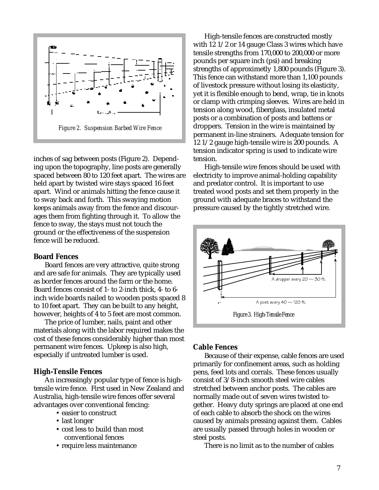

inches of sag between posts (Figure 2). Depending upon the topography, line posts are generally spaced between 80 to 120 feet apart. The wires are held apart by twisted wire stays spaced 16 feet apart. Wind or animals hitting the fence cause it to sway back and forth. This swaying motion keeps animals away from the fence and discourages them from fighting through it. To allow the fence to sway, the stays must not touch the ground or the effectiveness of the suspension fence will be reduced.

#### **Board Fences**

Board fences are very attractive, quite strong and are safe for animals. They are typically used as border fences around the farm or the home. Board fences consist of 1- to 2-inch thick, 4- to 6 inch wide boards nailed to wooden posts spaced 8 to 10 feet apart. They can be built to any height, however, heights of 4 to 5 feet are most common.

The price of lumber, nails, paint and other materials along with the labor required makes the cost of these fences considerably higher than most permanent wire fences. Upkeep is also high, especially if untreated lumber is used.

#### **High-Tensile Fences**

An increasingly popular type of fence is hightensile wire fence. First used in New Zealand and Australia, high-tensile wire fences offer several advantages over conventional fencing:

- easier to construct
- last longer
- cost less to build than most conventional fences
- require less maintenance

High-tensile fences are constructed mostly with 12 1/2 or 14 gauge Class 3 wires which have tensile strengths from 170,000 to 200,000 or more pounds per square inch (psi) and breaking strengths of approximetly 1,800 pounds (Figure 3). This fence can withstand more than 1,100 pounds of livestock pressure without losing its elasticity, yet it is flexible enough to bend, wrap, tie in knots or clamp with crimping sleeves. Wires are held in tension along wood, fiberglass, insulated metal posts or a combination of posts and battens or droppers. Tension in the wire is maintained by permanent in-line strainers. Adequate tension for 12 1/2 gauge high-tensile wire is 200 pounds. A tension indicator spring is used to indicate wire tension.

High-tensile wire fences should be used with electricity to improve animal-holding capability and predator control. It is important to use treated wood posts and set them properly in the ground with adequate braces to withstand the pressure caused by the tightly stretched wire.



#### **Cable Fences**

Because of their expense, cable fences are used primarily for confinement areas, such as holding pens, feed lots and corrals. These fences usually consist of 3/8-inch smooth steel wire cables stretched between anchor posts. The cables are normally made out of seven wires twisted together. Heavy duty springs are placed at one end of each cable to absorb the shock on the wires caused by animals pressing against them. Cables are usually passed through holes in wooden or steel posts.

There is no limit as to the number of cables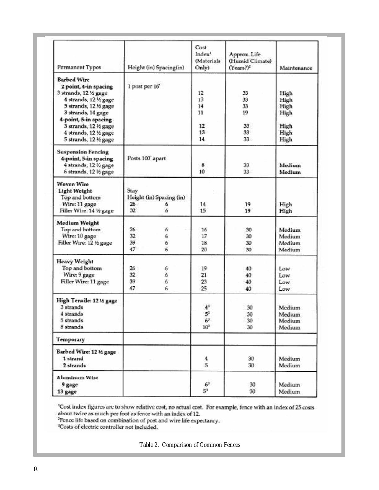| Permanent Types                                                                                                                                                                                                                                  | Height (in) Spacing(in)                                                                        | Cost<br>Index <sup>1</sup><br><b>Materials</b><br>Only)               | Approx. Life<br>(Humid Climate)<br>$(Years?)^2$ | Maintenance                                              |
|--------------------------------------------------------------------------------------------------------------------------------------------------------------------------------------------------------------------------------------------------|------------------------------------------------------------------------------------------------|-----------------------------------------------------------------------|-------------------------------------------------|----------------------------------------------------------|
| <b>Barbed Wire</b><br>2 point, 4-in spacing<br>3 strands, 12 % gage<br>4 strands, 12 1/2 gage<br>5 strands, 12 % gage<br>3 strands, 14 gage<br>4-point, 5-in spacing<br>3 strands, 12 1/2 gage<br>4 strands, 12 ½ gage<br>5 strands, 12 1/2 gage | 1 post per 16'                                                                                 | 12<br>12<br>14<br>11.<br>12<br>13<br>14                               | 33.<br>33.<br>33<br>19.<br>33<br>33.<br>$33 -$  | High<br>High<br>High<br>High<br>High<br>High<br>High     |
| <b>Suspension Fencing</b><br>4-point, 5-in spacing<br>4 strands, 12 % gage<br>6 strands, 12 ½ gage                                                                                                                                               | Posts 100' apart                                                                               | 8<br>10                                                               | 33<br>33.                                       | <b>Medium</b><br>Medium                                  |
| <b>Woven Wire</b><br>Light Weight<br>Top and bottom<br>Wire: 11 gage<br>Filler Wire: 14 % gage                                                                                                                                                   | Stav<br>Height (in) Spacing (in)<br>26.<br>6<br>32<br>ĥ.                                       | 14.<br>15                                                             | 19<br>19                                        | High<br>High                                             |
| <b>Medium Weight</b><br>Top and bottom<br>Wire: 10 gage<br>Filler Wire: 12 1/2 gage                                                                                                                                                              | 26 .<br>6<br>32<br>6<br>39.<br>6<br>$\vec{b}$<br>47                                            | 16<br>17<br>18<br>20                                                  | 30<br>30<br>30<br>30.                           | <b>Medium</b><br>Medium <sup>1</sup><br>Medium<br>Medium |
| Heavy Weight<br>Top and bottom<br>Wire: 9 gage<br>Filler Wire: 11 gage                                                                                                                                                                           | 26<br>k.<br>32<br>$\hat{\mathbf{G}}$<br>39.<br>$\mathbf{6}$<br>47.<br>$\mathcal{L}_\mathrm{c}$ | 19<br>21<br>23<br>25.                                                 | 40.<br>40<br>$-40$<br>40                        | Low<br>Low<br>Low<br>Low:                                |
| High Tensile: 12 14 gage<br>3 strands<br>4 strands<br>5 strands.<br>8 strands                                                                                                                                                                    |                                                                                                | 4 <sup>3</sup><br>$\mathbb{S}^3$<br>$\mathbf{6}^3$<br>10 <sup>3</sup> | 30<br>30<br>30 <sub>1</sub><br>30               | Medium.<br>Medium<br>Medium<br>Medium                    |
| <b>Temporary</b>                                                                                                                                                                                                                                 |                                                                                                |                                                                       |                                                 |                                                          |
| Barbed Wire: 12 16 gage<br>1 strand<br>2 strands                                                                                                                                                                                                 |                                                                                                | 4<br>5.                                                               | 30 <sub>1</sub><br>30.                          | Medium<br><b>Medium</b>                                  |
| <b>Aluminum Wire</b><br>9 gage<br>13 gage                                                                                                                                                                                                        |                                                                                                | $6^3\,$<br>$5^3$                                                      | 30<br>30 <sup>°</sup>                           | Medium<br>Medium                                         |

Cost index figures are to show relative cost, no actual cost. For example, fence with an index of 25 costs about twice as much per foot as fence with an index of 12.<br>Thence life based on combination of post and wire life e

<sup>3</sup>Costs of electric controller not included.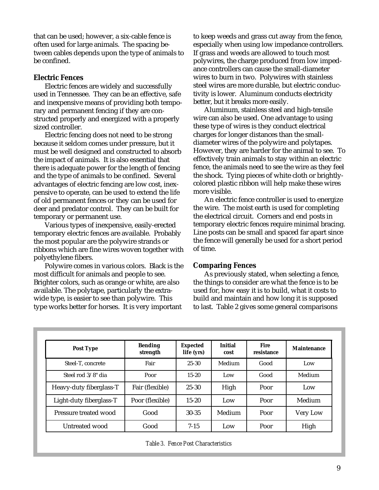that can be used; however, a six-cable fence is often used for large animals. The spacing between cables depends upon the type of animals to be confined.

#### **Electric Fences**

Electric fences are widely and successfully used in Tennessee. They can be an effective, safe and inexpensive means of providing both temporary and permanent fencing if they are constructed properly and energized with a properly sized controller.

Electric fencing does not need to be strong because it seldom comes under pressure, but it must be well designed and constructed to absorb the impact of animals. It is also essential that there is adequate power for the length of fencing and the type of animals to be confined. Several advantages of electric fencing are low cost, inexpensive to operate, can be used to extend the life of old permanent fences or they can be used for deer and predator control. They can be built for temporary or permanent use.

Various types of inexpensive, easily-erected temporary electric fences are available. Probably the most popular are the polywire strands or ribbons which are fine wires woven together with polyethylene fibers.

Polywire comes in various colors. Black is the most difficult for animals and people to see. Brighter colors, such as orange or white, are also available. The polytape, particularly the extrawide type, is easier to see than polywire. This type works better for horses. It is very important

to keep weeds and grass cut away from the fence, especially when using low impedance controllers. If grass and weeds are allowed to touch most polywires, the charge produced from low impedance controllers can cause the small-diameter wires to burn in two. Polywires with stainless steel wires are more durable, but electric conductivity is lower. Aluminum conducts electricity better, but it breaks more easily.

Aluminum, stainless steel and high-tensile wire can also be used. One advantage to using these type of wires is they conduct electrical charges for longer distances than the smalldiameter wires of the polywire and polytapes. However, they are harder for the animal to see. To effectively train animals to stay within an electric fence, the animals need to see the wire as they feel the shock. Tying pieces of white cloth or brightlycolored plastic ribbon will help make these wires more visible.

An electric fence controller is used to energize the wire. The moist earth is used for completing the electrical circuit. Corners and end posts in temporary electric fences require minimal bracing. Line posts can be small and spaced far apart since the fence will generally be used for a short period of time.

#### **Comparing Fences**

As previously stated, when selecting a fence, the things to consider are what the fence is to be used for, how easy it is to build, what it costs to build and maintain and how long it is supposed to last. Table 2 gives some general comparisons

| <b>Post Type</b>        | <b>Bending</b><br>strength | <b>Expected</b><br>life (yrs) | <b>Initial</b><br>cost | <b>Fire</b><br>resistance | <b>Maintenance</b> |
|-------------------------|----------------------------|-------------------------------|------------------------|---------------------------|--------------------|
| Steel-T. concrete       | Fair                       | $25 - 30$                     | Medium                 | Good                      | Low                |
| Steel rod 3/8" dia      | Poor                       | $15 - 20$                     | Low                    | Good                      | Medium             |
| Heavy-duty fiberglass-T | Fair (flexible)            | 25-30                         | High                   | Poor                      | Low                |
| Light-duty fiberglass-T | Poor (flexible)            | $15 - 20$                     | Low                    | Poor                      | Medium             |
| Pressure treated wood   | Good                       | 30-35                         | Medium                 | Poor                      | <b>Very Low</b>    |
| Untreated wood          | Good                       | $7 - 15$                      | Low                    | Poor                      | High               |

*Table 3. Fence Post Characteristics*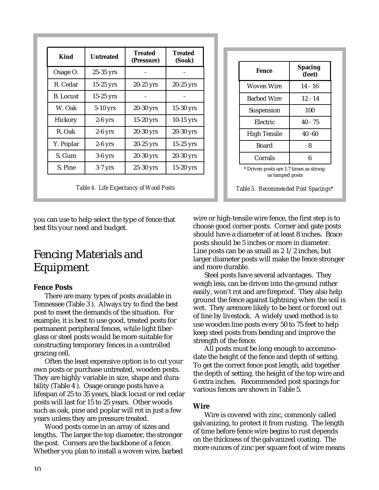| <b>Kind</b>      | <b>Untreated</b> | <b>Treated</b><br>(Pressure) | <b>Treated</b><br>(Soak) |
|------------------|------------------|------------------------------|--------------------------|
| Osage O.         | $25-35$ yrs      |                              |                          |
| R. Cedar         | $15-25$ yrs      | $20-25$ yrs                  | $20-25$ yrs              |
| <b>B.</b> Locust | $15-25$ yrs      |                              |                          |
| W. Oak           | 5-10 yrs         | $20-30$ yrs                  | $15-30$ yrs              |
| Hickory          | $2-6$ yrs        | $15-20$ yrs                  | $10-15$ yrs              |
| R. Oak           | $2-6$ yrs        | 20-30 yrs                    | 20-30 yrs                |
| Y. Poplar        | $2-6$ yrs        | $20-25$ yrs                  | $15-25$ yrs              |
| S. Gum           | $3-6$ yrs        | $20-30$ yrs                  | 20-30 yrs                |
| S. Pine          | $3-7$ yrs        | 25-30 yrs                    | 15-20 yrs                |

| Fence                                                     | <b>Spacing</b><br>(feet) |  |  |
|-----------------------------------------------------------|--------------------------|--|--|
| Woven Wire                                                | 14 - 16                  |  |  |
| <b>Barbed Wire</b>                                        | $12 - 14$                |  |  |
| Suspension                                                | 100                      |  |  |
| Electric                                                  | $40 - 75$                |  |  |
| <b>High Tensile</b>                                       | $40 - 60$                |  |  |
| <b>Board</b><br>8                                         |                          |  |  |
| 6<br>Corrals                                              |                          |  |  |
| * Driven posts are 1.7 times as strong<br>as tamped posts |                          |  |  |

you can use to help select the type of fence that best fits your need and budget.

## Fencing Materials and Equipment

#### **Fence Posts**

There are many types of posts available in Tennessee (Table 3 ). Always try to find the best post to meet the demands of the situation. For example, it is best to use good, treated posts for permanent peripheral fences, while light fiberglass or steel posts would be more suitable for constructing temporary fences in a controlled grazing cell.

Often the least expensive option is to cut your own posts or purchase untreated, wooden posts. They are highly variable in size, shape and durability (Table 4 ). Osage orange posts have a lifespan of 25 to 35 years, black locust or red cedar posts will last for 15 to 25 years. Other woods such as oak, pine and poplar will rot in just a few years unless they are pressure treated.

Wood posts come in an array of sizes and lengths. The larger the top diameter, the stronger the post. Corners are the backbone of a fence. Whether you plan to install a woven wire, barbed

wire or high-tensile wire fence, the first step is to choose good corner posts. Corner and gate posts should have a diameter of at least 8 inches. Brace posts should be 5 inches or more in diameter. Line posts can be as small as 2 1/2 inches, but larger diameter posts will make the fence stronger and more durable.

Steel posts have several advantages. They weigh less, can be driven into the ground rather easily, won't rot and are fireproof. They also help ground the fence against lightning when the soil is wet. They aremore likely to be bent or forced out of line by livestock. A widely used method is to use wooden line posts every 50 to 75 feet to help keep steel posts from bending and improve the strength of the fence.

All posts must be long enough to accommodate the height of the fence and depth of setting. To get the correct fence post length, add together the depth of setting, the height of the top wire and 6 extra inches. Recommended post spacings for various fences are shown in Table 5.

#### **Wire**

Wire is covered with zinc, commonly called galvanizing, to protect it from rusting. The length of time before fence wire begins to rust depends on the thickness of the galvanized coating. The more ounces of zinc per square foot of wire means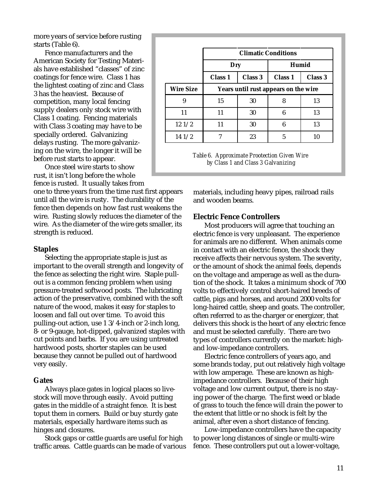more years of service before rusting starts (Table 6).

Fence manufacturers and the American Society for Testing Materials have established "classes" of zinc coatings for fence wire. Class 1 has the lightest coating of zinc and Class 3 has the heaviest. Because of competition, many local fencing supply dealers only stock wire with Class 1 coating. Fencing materials with Class 3 coating may have to be specially ordered. Galvanizing delays rusting. The more galvanizing on the wire, the longer it will be before rust starts to appear.

Once steel wire starts to show rust, it isn't long before the whole fence is rusted. It usually takes from

one to three years from the time rust first appears until all the wire is rusty. The durability of the fence then depends on how fast rust weakens the wire. Rusting slowly reduces the diameter of the wire. As the diameter of the wire gets smaller, its strength is reduced.

#### **Staples**

Selecting the appropriate staple is just as important to the overall strength and longevity of the fence as selecting the right wire. Staple pullout is a common fencing problem when using pressure-treated softwood posts. The lubricating action of the preservative, combined with the soft nature of the wood, makes it easy for staples to loosen and fall out over time. To avoid this pulling-out action, use 1 3/4-inch or 2-inch long, 8- or 9-gauge, hot-dipped, galvanized staples with cut points and barbs. If you are using untreated hardwood posts, shorter staples can be used because they cannot be pulled out of hardwood very easily.

#### **Gates**

Always place gates in logical places so livestock will move through easily. Avoid putting gates in the middle of a straight fence. It is best toput them in corners. Build or buy sturdy gate materials, especially hardware items such as hinges and closures.

Stock gaps or cattle guards are useful for high traffic areas. Cattle guards can be made of various

|                  | <b>Climatic Conditions</b>           |         |                |         |
|------------------|--------------------------------------|---------|----------------|---------|
|                  | Dry                                  |         | Humid          |         |
|                  | <b>Class 1</b>                       | Class 3 | <b>Class 1</b> | Class 3 |
| <b>Wire Size</b> | Years until rust appears on the wire |         |                |         |
| 9                | 15                                   | 30      | 8              | 13      |
| 11               | 11                                   | 30      | 6              | 13      |
| 121/2            | 11                                   | 30      | 6              | 13      |
| 141/2            |                                      | 23      | 5              | 10      |

*Table 6. Approximate Prootection Given Wire by Class 1 and Class 3 Galvanizing*

materials, including heavy pipes, railroad rails and wooden beams.

#### **Electric Fence Controllers**

Most producers will agree that touching an electric fence is very unpleasant. The experience for animals are no different. When animals come in contact with an electric fence, the shock they receive affects their nervous system. The severity, or the amount of shock the animal feels, depends on the voltage and amperage as well as the duration of the shock. It takes a minimum shock of 700 volts to effectively control short-haired breeds of cattle, pigs and horses, and around 2000 volts for long-haired cattle, sheep and goats. The controller, often referred to as the charger or energizer, that delivers this shock is the heart of any electric fence and must be selected carefully. There are two types of controllers currently on the market: highand low-impedance controllers.

Electric fence controllers of years ago, and some brands today, put out relatively high voltage with low amperage. These are known as highimpedance controllers. Because of their high voltage and low current output, there is no staying power of the charge. The first weed or blade of grass to touch the fence will drain the power to the extent that little or no shock is felt by the animal, after even a short distance of fencing.

Low-impedance controllers have the capacity to power long distances of single or multi-wire fence. These controllers put out a lower-voltage,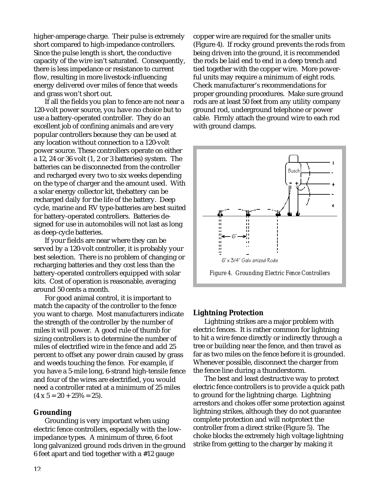higher-amperage charge. Their pulse is extremely short compared to high-impedance controllers. Since the pulse length is short, the conductive capacity of the wire isn't saturated. Consequently, there is less impedance or resistance to current flow, resulting in more livestock-influencing energy delivered over miles of fence that weeds and grass won't short out.

If all the fields you plan to fence are not near a 120-volt power source, you have no choice but to use a battery-operated controller. They do an excellent job of confining animals and are very popular controllers because they can be used at any location without connection to a 120-volt power source. These controllers operate on either a 12, 24 or 36 volt (1, 2 or 3 batteries) system. The batteries can be disconnected from the controller and recharged every two to six weeks depending on the type of charger and the amount used. With a solar energy collector kit, thebattery can be recharged daily for the life of the battery. Deep cycle, marine and RV type-batteries are best suited for battery-operated controllers. Batteries designed for use in automobiles will not last as long as deep-cycle batteries.

If your fields are near where they can be served by a 120-volt controller, it is probably your best selection. There is no problem of changing or recharging batteries and they cost less than the battery-operated controllers equipped with solar kits. Cost of operation is reasonable, averaging around 50 cents a month.

For good animal control, it is important to match the capacity of the controller to the fence you want to charge. Most manufacturers indicate the strength of the controller by the number of miles it will power. A good rule of thumb for sizing controllers is to determine the number of miles of electrified wire in the fence and add 25 percent to offset any power drain caused by grass and weeds touching the fence. For example, if you have a 5-mile long, 6-strand high-tensile fence and four of the wires are electrified, you would need a controller rated at a minimum of 25 miles  $(4 \times 5 = 20 + 25\% = 25)$ .

#### **Grounding**

Grounding is very important when using electric fence controllers, especially with the lowimpedance types. A minimum of three, 6-foot long galvanized ground rods driven in the ground 6 feet apart and tied together with a #12 gauge

copper wire are required for the smaller units (Figure 4). If rocky ground prevents the rods from being driven into the ground, it is recommended the rods be laid end to end in a deep trench and tied together with the copper wire. More powerful units may require a minimum of eight rods. Check manufacturer's recommendations for proper grounding procedures. Make sure ground rods are at least 50 feet from any utility company ground rod, underground telephone or power cable. Firmly attach the ground wire to each rod with ground clamps.



## **Lightning Protection**

Lightning strikes are a major problem with electric fences. It is rather common for lightning to hit a wire fence directly or indirectly through a tree or building near the fence, and then travel as far as two miles on the fence before it is grounded. Whenever possible, disconnect the charger from the fence line during a thunderstorm.

The best and least destructive way to protect electric fence controllers is to provide a quick path to ground for the lightning charge. Lightning arrestors and chokes offer some protection against lightning strikes, although they do not guarantee complete protection and will notprotect the controller from a direct strike (Figure 5). The choke blocks the extremely high voltage lightning strike from getting to the charger by making it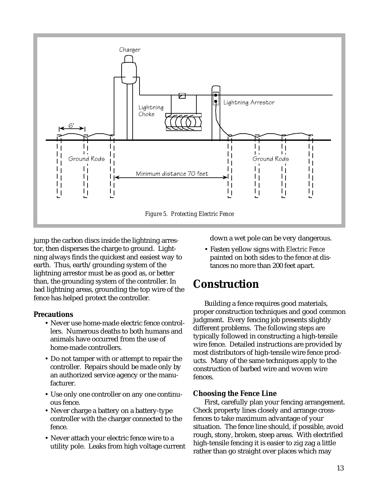

jump the carbon discs inside the lightning arrestor, then disperses the charge to ground. Lightning always finds the quickest and easiest way to earth. Thus, earth/grounding system of the lightning arrestor must be as good as, or better than, the grounding system of the controller. In bad lightning areas, grounding the top wire of the fence has helped protect the controller.

#### **Precautions**

- Never use home-made electric fence controllers. Numerous deaths to both humans and animals have occurred from the use of home-made controllers.
- Do not tamper with or attempt to repair the controller. Repairs should be made only by an authorized service agency or the manufacturer.
- Use only one controller on any one continuous fence.
- Never charge a battery on a battery-type controller with the charger connected to the fence.
- Never attach your electric fence wire to a utility pole. Leaks from high voltage current

down a wet pole can be very dangerous.

• Fasten yellow signs with *Electric Fence* painted on both sides to the fence at distances no more than 200 feet apart.

## **Construction**

Building a fence requires good materials, proper construction techniques and good common judgment. Every fencing job presents slightly different problems. The following steps are typically followed in constructing a high-tensile wire fence. Detailed instructions are provided by most distributors of high-tensile wire fence products. Many of the same techniques apply to the construction of barbed wire and woven wire fences.

#### **Choosing the Fence Line**

First, carefully plan your fencing arrangement. Check property lines closely and arrange crossfences to take maximum advantage of your situation. The fence line should, if possible, avoid rough, stony, broken, steep areas. With electrified high-tensile fencing it is easier to zig zag a little rather than go straight over places which may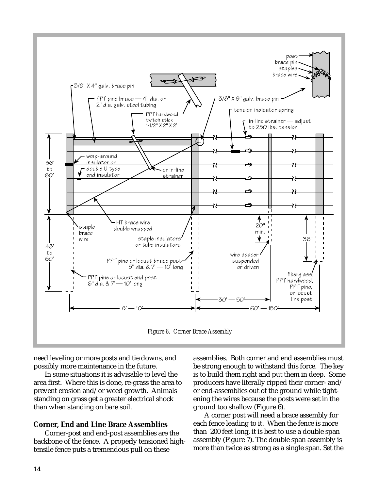

need leveling or more posts and tie downs, and possibly more maintenance in the future.

In some situations it is advisable to level the area first. Where this is done, re-grass the area to prevent erosion and/or weed growth. Animals standing on grass get a greater electrical shock than when standing on bare soil.

#### **Corner, End and Line Brace Assemblies**

Corner-post and end-post assemblies are the backbone of the fence. A properly tensioned hightensile fence puts a tremendous pull on these

assemblies. Both corner and end assemblies must be strong enough to withstand this force. The key is to build them right and put them in deep. Some producers have literally ripped their corner- and/ or end-assemblies out of the ground while tightening the wires because the posts were set in the ground too shallow (Figure 6).

A corner post will need a brace assembly for each fence leading to it. When the fence is more than 200 feet long, it is best to use a double span assembly (Figure 7). The double span assembly is more than twice as strong as a single span. Set the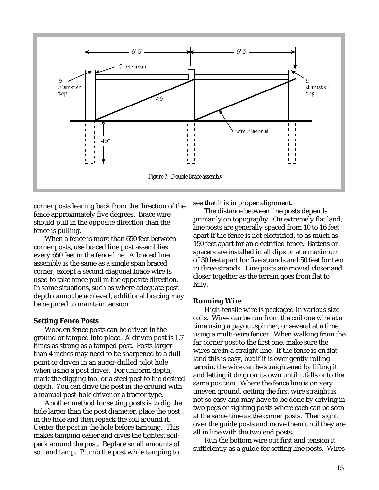

corner posts leaning back from the direction of the fence approximately five degrees. Brace wire should pull in the opposite direction than the fence is pulling.

When a fence is more than 650 feet between corner posts, use braced line post assemblies every 650 feet in the fence line. A braced line assembly is the same as a single span braced corner, except a second diagonal brace wire is used to take fence pull in the opposite direction. In some situations, such as where adequate post depth cannot be achieved, additional bracing may be required to maintain tension.

#### **Setting Fence Posts**

Wooden fence posts can be driven in the ground or tamped into place. A driven post is 1.7 times as strong as a tamped post. Posts larger than 4 inches may need to be sharpened to a dull point or driven in an auger-drilled pilot hole when using a post driver. For uniform depth, mark the digging tool or a steel post to the desired depth. You can drive the post in the ground with a manual post-hole driver or a tractor type.

Another method for setting posts is to dig the hole larger than the post diameter, place the post in the hole and then repack the soil around it. Center the post in the hole before tamping. This makes tamping easier and gives the tightest soilpack around the post. Replace small amounts of soil and tamp. Plumb the post while tamping to

see that it is in proper alignment.

The distance between line posts depends primarily on topography. On extremely flat land, line posts are generally spaced from 10 to 16 feet apart if the fence is not electrified, to as much as 150 feet apart for an electrified fence. Battens or spacers are installed in all dips or at a maximum of 30 feet apart for five strands and 50 feet for two to three strands. Line posts are moved closer and closer together as the terrain goes from flat to hilly.

#### **Running Wire**

High-tensile wire is packaged in various size coils. Wires can be run from the coil one wire at a time using a payout spinner, or several at a time using a multi-wire fencer. When walking from the far corner post to the first one, make sure the wires are in a straight line. If the fence is on flat land this is easy, but if it is over gently rolling terrain, the wire can be straightened by lifting it and letting it drop on its own until it falls onto the same position. Where the fence line is on very uneven ground, getting the first wire straight is not so easy and may have to be done by driving in two pegs or sighting posts where each can be seen at the same time as the corner posts. Then sight over the guide posts and move them until they are all in line with the two end posts.

Run the bottom wire out first and tension it sufficiently as a guide for setting line posts. Wires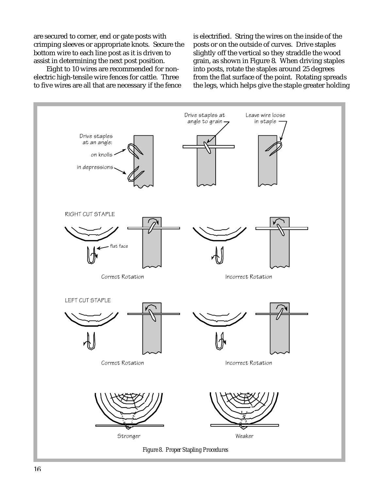are secured to corner, end or gate posts with crimping sleeves or appropriate knots. Secure the bottom wire to each line post as it is driven to assist in determining the next post position.

 Eight to 10 wires are recommended for nonelectric high-tensile wire fences for cattle. Three to five wires are all that are necessary if the fence is electrified. String the wires on the inside of the posts or on the outside of curves. Drive staples slightly off the vertical so they straddle the wood grain, as shown in Figure 8. When driving staples into posts, rotate the staples around 25 degrees from the flat surface of the point. Rotating spreads the legs, which helps give the staple greater holding

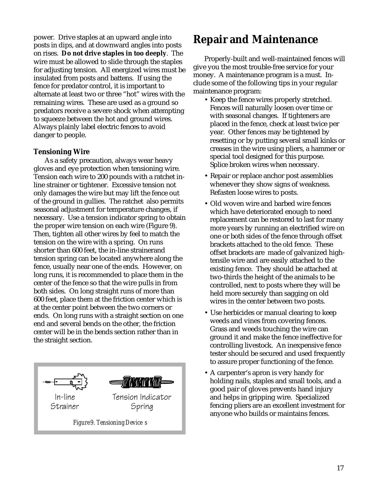power. Drive staples at an upward angle into posts in dips, and at downward angles into posts on rises. **Do not drive staples in too deeply**. The wire must be allowed to slide through the staples for adjusting tension. All energized wires must be insulated from posts and battens. If using the fence for predator control, it is important to alternate at least two or three "hot" wires with the remaining wires. These are used as a ground so predators receive a severe shock when attempting to squeeze between the hot and ground wires. Always plainly label electric fences to avoid danger to people.

#### **Tensioning Wire**

As a safety precaution, always wear heavy gloves and eye protection when tensioning wire. Tension each wire to 200 pounds with a ratchet inline strainer or tightener. Excessive tension not only damages the wire but may lift the fence out of the ground in gullies. The ratchet also permits seasonal adjustment for temperature changes, if necessary. Use a tension indicator spring to obtain the proper wire tension on each wire (Figure 9). Then, tighten all other wires by feel to match the tension on the wire with a spring. On runs shorter than 600 feet, the in-line strainerand tension spring can be located anywhere along the fence, usually near one of the ends. However, on long runs, it is recommended to place them in the center of the fence so that the wire pulls in from both sides. On long straight runs of more than 600 feet, place them at the friction center which is at the center point between the two corners or ends. On long runs with a straight section on one end and several bends on the other, the friction center will be in the bends section rather than in the straight section.



## **Repair and Maintenance**

Properly-built and well-maintained fences will give you the most trouble-free service for your money. A maintenance program is a must. Include some of the following tips in your regular maintenance program:

- Keep the fence wires properly stretched. Fences will naturally loosen over time or with seasonal changes. If tighteners are placed in the fence, check at least twice per year. Other fences may be tightened by resetting or by putting several small kinks or creases in the wire using pliers, a hammer or special tool designed for this purpose. Splice broken wires when necessary.
- Repair or replace anchor post assemblies whenever they show signs of weakness. Refasten loose wires to posts.
- Old woven wire and barbed wire fences which have deteriorated enough to need replacement can be restored to last for many more years by running an electrified wire on one or both sides of the fence through offset brackets attached to the old fence. These offset brackets are made of galvanized hightensile wire and are easily attached to the existing fence. They should be attached at two-thirds the height of the animals to be controlled, next to posts where they will be held more securely than sagging on old wires in the center between two posts.
- Use herbicides or manual clearing to keep weeds and vines from covering fences. Grass and weeds touching the wire can ground it and make the fence ineffective for controlling livestock. An inexpensive fence tester should be secured and used frequently to assure proper functioning of the fence.
- A carpenter's apron is very handy for holding nails, staples and small tools, and a good pair of gloves prevents hand injury and helps in gripping wire. Specialized fencing pliers are an excellent investment for anyone who builds or maintains fences.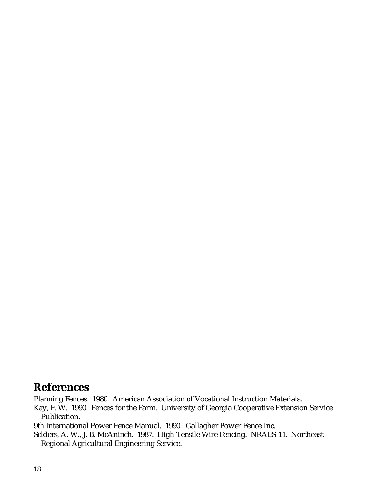## **References**

Planning Fences. 1980. American Association of Vocational Instruction Materials.

Kay, F. W. 1990. Fences for the Farm. University of Georgia Cooperative Extension Service Publication.

9th International Power Fence Manual. 1990. Gallagher Power Fence Inc.

Selders, A. W., J. B. McAninch. 1987. High-Tensile Wire Fencing. NRAES-11. Northeast Regional Agricultural Engineering Service.